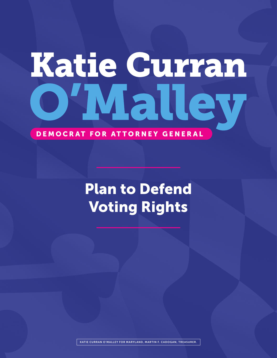# Katie Curran VIal

#### DEMOCRAT FOR ATTORNEY GENERAL

# Plan to Defend Voting Rights

KATIE CURRAN O'MALLEY FOR MARYLAND, MARTIN F. CADOGAN, TREASURER.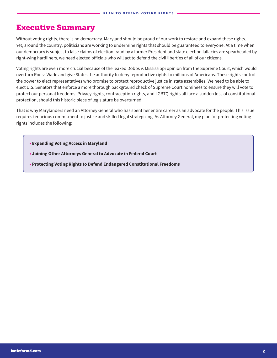#### Executive Summary

Without voting rights, there is no democracy. Maryland should be proud of our work to restore and expand these rights. Yet, around the country, politicians are working to undermine rights that should be guaranteed to everyone. At a time when our democracy is subject to false claims of election fraud by a former President and state election fallacies are spearheaded by right-wing hardliners, we need elected officials who will act to defend the civil liberties of all of our citizens.

Voting rights are even more crucial because of the leaked Dobbs v. Mississippi opinion from the Supreme Court, which would overturn Roe v. Wade and give States the authority to deny reproductive rights to millions of Americans. These rights control the power to elect representatives who promise to protect reproductive justice in state assemblies. We need to be able to elect U.S. Senators that enforce a more thorough background check of Supreme Court nominees to ensure they will vote to protect our personal freedoms. Privacy rights, contraception rights, and LGBTQ rights all face a sudden loss of constitutional protection, should this historic piece of legislature be overturned.

That is why Marylanders need an Attorney General who has spent her entire career as an advocate for the people. This issue requires tenacious commitment to justice and skilled legal strategizing. As Attorney General, my plan for protecting voting rights includes the following:

- **Expanding Voting Access in Maryland**
- **• Joining Other Attorneys General to Advocate in Federal Court**
- **• Protecting Voting Rights to Defend Endangered Constitutional Freedoms**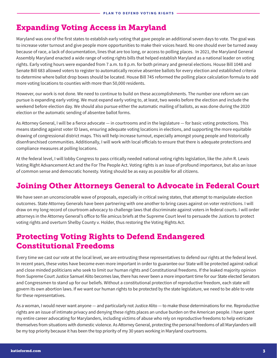### Expanding Voting Access in Maryland

Maryland was one of the first states to establish early voting that gave people an additional seven days to vote. The goal was to increase voter turnout and give people more opportunities to make their voices heard. No one should ever be turned away because of race, a lack of documentation, lines that are too long, or access to polling places. In 2021, the Maryland General Assembly Maryland enacted a wide range of voting rights bills that helped establish Maryland as a national leader on voting rights. Early voting hours were expanded from 7 a.m. to 8 p.m. for both primary and general elections. House Bill 1048 and Senate Bill 683 allowed voters to register to automatically receive absentee ballots for every election and established criteria to determine where ballot drop boxes should be located. House Bill 745 reformed the polling place calculation formula to add more voting locations to counties with more than 50,000 residents.

However, our work is not done. We need to continue to build on these accomplishments. The number one reform we can pursue is expanding early voting. We must expand early voting to, at least, two weeks before the election and include the weekend before election day. We should also pursue either the automatic mailing of ballots, as was done during the 2020 election or the automatic sending of absentee ballot forms.

As Attorney General, I will be a fierce advocate — in courtrooms and in the legislature — for basic voting protections. This means standing against voter ID laws, ensuring adequate voting locations in elections, and supporting the more equitable drawing of congressional district maps. This will help increase turnout, especially amongst young people and historically disenfranchised communities. Additionally, I will work with local officials to ensure that there is adequate protections and compliance measures at polling locations.

At the federal level, I will lobby Congress to pass critically needed national voting rights legislation, like the John R. Lewis Voting Right Advancement Act and the For The People Act. Voting rights is an issue of profound importance, but also an issue of common sense and democratic honesty. Voting should be as easy as possible for all citizens.

#### Joining Other Attorneys General to Advocate in Federal Court

We have seen an unconscionable wave of proposals, especially in critical swing states, that attempt to manipulate election outcomes. State Attorney Generals have been partnering with one another to bring cases against on voter restrictions. I will draw on my long record of courtroom advocacy to challenge laws that discriminate against voters in federal courts. I will order attorneys in the Attorney General's office to file amicus briefs at the Supreme Court level to persuade the Justices to protect voting rights and overturn Shelby County v. Holder, thus restoring the Voting Rights Act.

#### Protecting Voting Rights to Defend Endangered Constitutional Freedoms

Every time we cast our vote at the local level, we are entrusting these representatives to defend our rights at the federal level. In recent years, these votes have become even more important in order to guarantee our State will be protected against radical and close minded politicians who seek to limit our human rights and Constitutional freedoms. If the leaked majority opinion from Supreme Court Justice Samuel Alito becomes law, there has never been a more important time for our State elected Senators and Congressmen to stand up for our beliefs. Without a constitutional protection of reproductive freedom, each state will govern its own abortion laws. If we want our human rights to be protected by the state legislature, we need to be able to vote for these representatives.

As a woman, I would never want anyone — and particularly not Justice Alito — to make those determinations for me. Reproductive rights are an issue of intimate privacy and denying these rights places an undue burden on the American people. I have spent my entire career advocating for Marylanders, including victims of abuse who rely on reproductive freedoms to help extricate themselves from situations with domestic violence. As Attorney General, protecting the personal freedoms of all Marylanders will be my top priority because it has been the top priority of my 30 years working in Maryland courtrooms.